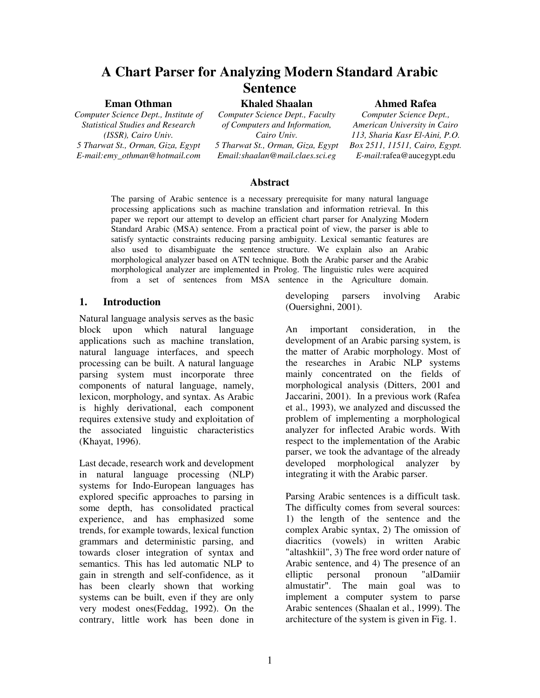# **A Chart Parser for Analyzing Modern Standard Arabic Sentence**

### **Eman Othman**

*Computer Science Dept., Institute of Statistical Studies and Research (ISSR), Cairo Univ. 5 Tharwat St., Orman, Giza, Egypt E-mail:emy\_othman@hotmail.com*

**Khaled Shaalan**

*Computer Science Dept., Faculty of Computers and Information, Cairo Univ. 5 Tharwat St., Orman, Giza, Egypt Email:shaalan@mail.claes.sci.eg*

### **Ahmed Rafea**

*Computer Science Dept., American University in Cairo 113, Sharia Kasr El-Aini, P.O. Box 2511, 11511, Cairo, Egypt. E-mail:*rafea@aucegypt.edu

### **Abstract**

The parsing of Arabic sentence is a necessary prerequisite for many natural language processing applications such as machine translation and information retrieval. In this paper we report our attempt to develop an efficient chart parser for Analyzing Modern Standard Arabic (MSA) sentence. From a practical point of view, the parser is able to satisfy syntactic constraints reducing parsing ambiguity. Lexical semantic features are also used to disambiguate the sentence structure. We explain also an Arabic morphological analyzer based on ATN technique. Both the Arabic parser and the Arabic morphological analyzer are implemented in Prolog. The linguistic rules were acquired from a set of sentences from MSA sentence in the Agriculture domain.

### **1. Introduction**

Natural language analysis serves as the basic block upon which natural language applications such as machine translation, natural language interfaces, and speech processing can be built. A natural language parsing system must incorporate three components of natural language, namely, lexicon, morphology, and syntax. As Arabic is highly derivational, each component requires extensive study and exploitation of the associated linguistic characteristics (Khayat, 1996).

Last decade, research work and development in natural language processing (NLP) systems for Indo-European languages has explored specific approaches to parsing in some depth, has consolidated practical experience, and has emphasized some trends, for example towards, lexical function grammars and deterministic parsing, and towards closer integration of syntax and semantics. This has led automatic NLP to gain in strength and self-confidence, as it has been clearly shown that working systems can be built, even if they are only very modest ones(Feddag, 1992). On the contrary, little work has been done in

developing parsers involving Arabic (Ouersighni, 2001).

An important consideration, in the development of an Arabic parsing system, is the matter of Arabic morphology. Most of the researches in Arabic NLP systems mainly concentrated on the fields of morphological analysis (Ditters, 2001 and Jaccarini, 2001). In a previous work (Rafea et al., 1993), we analyzed and discussed the problem of implementing a morphological analyzer for inflected Arabic words. With respect to the implementation of the Arabic parser, we took the advantage of the already developed morphological analyzer by integrating it with the Arabic parser.

Parsing Arabic sentences is a difficult task. The difficulty comes from several sources: 1) the length of the sentence and the complex Arabic syntax, 2) The omission of diacritics (vowels) in written Arabic "altashkiil", 3) The free word order nature of Arabic sentence, and 4) The presence of an elliptic personal pronoun "alDamiir almustatir". The main goal was to implement a computer system to parse Arabic sentences (Shaalan et al., 1999). The architecture of the system is given in Fig. 1.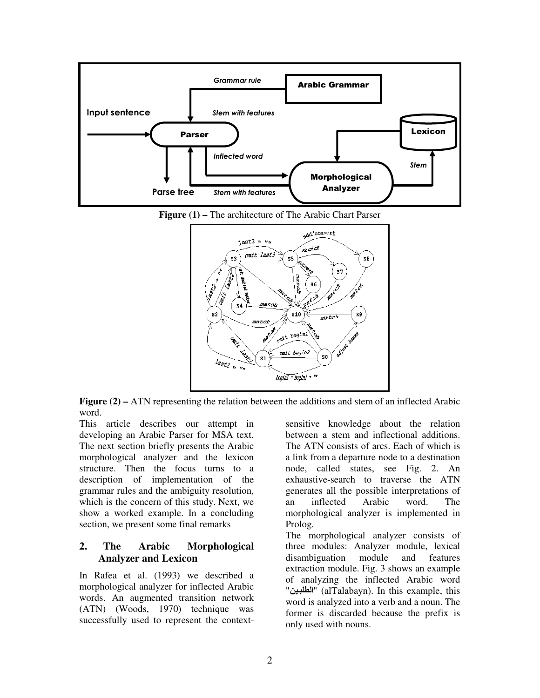

**Figure (1) –** The architecture of The Arabic Chart Parser



**Figure (2) –** ATN representing the relation between the additions and stem of an inflected Arabic word.

This article describes our attempt in developing an Arabic Parser for MSA text. The next section briefly presents the Arabic morphological analyzer and the lexicon structure. Then the focus turns to a description of implementation of the grammar rules and the ambiguity resolution, which is the concern of this study. Next, we show a worked example. In a concluding section, we present some final remarks

# **2. The Arabic Morphological Analyzer and Lexicon**

In Rafea et al. (1993) we described a morphological analyzer for inflected Arabic words. An augmented transition network (ATN) (Woods, 1970) technique was successfully used to represent the context-

sensitive knowledge about the relation between a stem and inflectional additions. The ATN consists of arcs. Each of which is a link from a departure node to a destination node, called states, see Fig. 2. An exhaustive-search to traverse the ATN generates all the possible interpretations of an inflected Arabic word. The morphological analyzer is implemented in Prolog.

The morphological analyzer consists of three modules: Analyzer module, lexical disambiguation module and features extraction module. Fig. 3 shows an example of analyzing the inflected Arabic word "الطلبين" (alTalabayn). In this example, this word is analyzed into a verb and a noun. The former is discarded because the prefix is only used with nouns.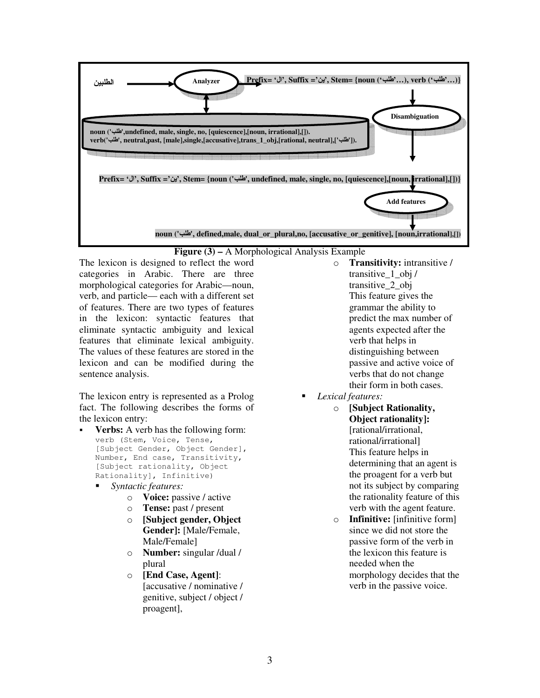

### **Figure (3) –** A Morphological Analysis Example

The lexicon is designed to reflect the word categories in Arabic. There are three morphological categories for Arabic—noun, verb, and particle— each with a different set of features. There are two types of features in the lexicon: syntactic features that eliminate syntactic ambiguity and lexical features that eliminate lexical ambiguity. The values of these features are stored in the lexicon and can be modified during the sentence analysis.

The lexicon entry is represented as a Prolog fact. The following describes the forms of the lexicon entry:

- **Verbs:** A verb has the following form: verb (Stem, Voice, Tense, [Subject Gender, Object Gender], Number, End case, Transitivity, [Subject rationality, Object Rationality], Infinitive)
	- *Syntactic features:*
		- o **Voice:** passive / active
		- o **Tense:** past / present
		- o **[Subject gender, Object Gender]:** [Male/Female, Male/Female]
		- o **Number:** singular /dual / plural
		- o **[End Case, Agent]**: [accusative / nominative / genitive, subject / object / proagent],
- o **Transitivity:** intransitive / transitive\_1\_obj / transitive\_2\_obj This feature gives the grammar the ability to predict the max number of agents expected after the verb that helps in distinguishing between passive and active voice of verbs that do not change their form in both cases.
- *Lexical features:*
	- o **[Subject Rationality, Object rationality]:** [rational/irrational, rational/irrational] This feature helps in determining that an agent is the proagent for a verb but not its subject by comparing the rationality feature of this verb with the agent feature.
	- o **Infinitive:** [infinitive form] since we did not store the passive form of the verb in the lexicon this feature is needed when the morphology decides that the verb in the passive voice.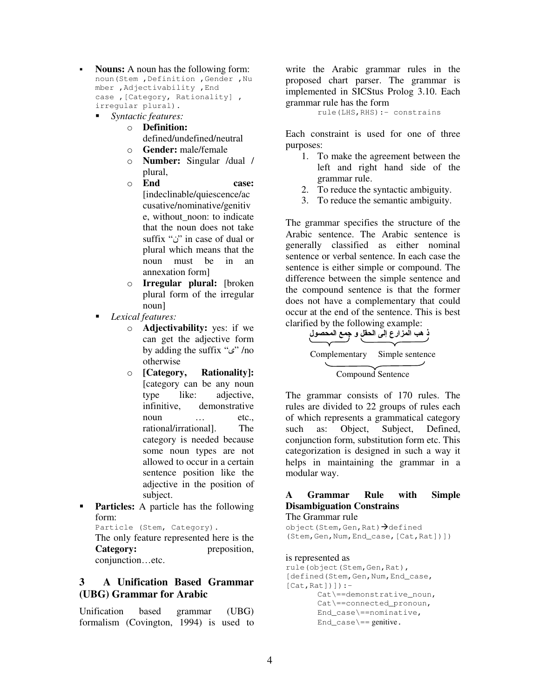- **Nouns:** A noun has the following form: noun(Stem ,Definition ,Gender ,Nu mber ,Adjectivability ,End case ,[Category, Rationality] , irregular plural).
	- *Syntactic features:*
		- o **Definition:** defined/undefined/neutral
		- o **Gender:** male/female
		- o **Number:** Singular /dual / plural,
		- o **End case:** [indeclinable/quiescence/ac cusative/nominative/genitiv e, without\_noon: to indicate that the noun does not take suffix " $\ddot{\mathrm{o}}$ " in case of dual or plural which means that the noun must be in an annexation form]
		- o **Irregular plural:** [broken plural form of the irregular noun]
	- *Lexical features:*
		- o **Adjectivability:** yes: if we can get the adjective form by adding the suffix " $\omega$ " /no otherwise
		- o **[Category, Rationality]:** [category can be any noun type like: adjective, infinitive, demonstrative noun etc., etc., rational/irrational]. The category is needed because some noun types are not allowed to occur in a certain sentence position like the adjective in the position of subject.
- **Particles:** A particle has the following form:

Particle (Stem, Category). The only feature represented here is the

**Category:** preposition, conjunction…etc.

## **3 A Unification Based Grammar (UBG) Grammar for Arabic**

Unification based grammar (UBG) formalism (Covington, 1994) is used to write the Arabic grammar rules in the proposed chart parser. The grammar is implemented in SICStus Prolog 3.10. Each grammar rule has the form

rule(LHS,RHS):- constrains

Each constraint is used for one of three purposes:

- 1. To make the agreement between the left and right hand side of the grammar rule.
- 2. To reduce the syntactic ambiguity.
- 3. To reduce the semantic ambiguity.

The grammar specifies the structure of the Arabic sentence. The Arabic sentence is generally classified as either nominal sentence or verbal sentence. In each case the sentence is either simple or compound. The difference between the simple sentence and the compound sentence is that the former does not have a complementary that could occur at the end of the sentence. This is best clarified by the following example:

.<br>- هب المزارع إل*ى* الحقل و جمع المحصول Complementary Simple sentence Compound Sentence

The grammar consists of 170 rules. The rules are divided to 22 groups of rules each of which represents a grammatical category such as: Object, Subject, Defined, conjunction form, substitution form etc. This categorization is designed in such a way it helps in maintaining the grammar in a modular way.

# **A Grammar Rule with Simple Disambiguation Constrains**

### The Grammar rule

object (Stem, Gen, Rat)→defined (Stem,Gen,Num,End\_case,[Cat,Rat])])

#### is represented as

```
rule(object(Stem,Gen,Rat),
[defined(Stem, Gen, Num, End_case,
[Cat, Rat])]) :-
       Cat\==demonstrative_noun,
       Cat\==connected_pronoun,
       End_case\==nominative,
       End_case\rangle == genitive.
```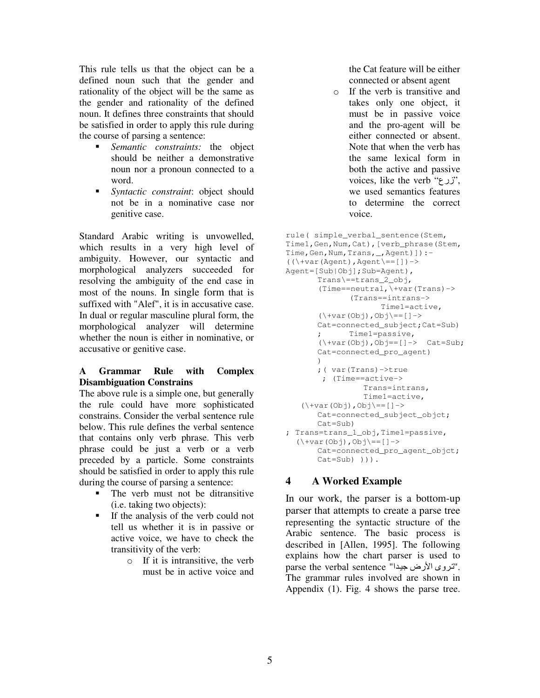This rule tells us that the object can be a defined noun such that the gender and rationality of the object will be the same as the gender and rationality of the defined noun. It defines three constraints that should be satisfied in order to apply this rule during the course of parsing a sentence:

- *Semantic constraints:* the object should be neither a demonstrative noun nor a pronoun connected to a word.
- *Syntactic constraint*: object should not be in a nominative case nor genitive case.

Standard Arabic writing is unvowelled, which results in a very high level of ambiguity. However, our syntactic and morphological analyzers succeeded for resolving the ambiguity of the end case in most of the nouns. In single form that is suffixed with "Alef", it is in accusative case. In dual or regular masculine plural form, the morphological analyzer will determine whether the noun is either in nominative, or accusative or genitive case.

### **A Grammar Rule with Complex Disambiguation Constrains**

The above rule is a simple one, but generally the rule could have more sophisticated constrains. Consider the verbal sentence rule below. This rule defines the verbal sentence that contains only verb phrase. This verb phrase could be just a verb or a verb preceded by a particle. Some constraints should be satisfied in order to apply this rule during the course of parsing a sentence:

- The verb must not be ditransitive (i.e. taking two objects):
- If the analysis of the verb could not tell us whether it is in passive or active voice, we have to check the transitivity of the verb:
	- o If it is intransitive, the verb must be in active voice and

the Cat feature will be either connected or absent agent

o If the verb is transitive and takes only one object, it must be in passive voice and the pro-agent will be either connected or absent. Note that when the verb has the same lexical form in both the active and passive voices, like the verb ""(رح $'$ , " we used semantics features to determine the correct voice.

```
rule( simple_verbal_sentence(Stem,
Time1, Gen, Num, Cat), [verb_phrase(Stem,
Time, Gen, Num, Trans, _, Agent) ]) :-
((\forall x (Agent),Agent\leftarrow=[])\rightarrowAgent=[Sub|Obj];Sub=Agent),
      Trans\==trans_2_obj,
       (Time==neutral,\+var(Trans)->
              (Trans==intrans->
                     Time1=active,
       (\+var(Obj),Obj\==[]->
       Cat=connected_subject;Cat=Sub)
             ; Time1=passive,
       (\+var(Obj),Obj==[]-> Cat=Sub;
       Cat=connected_pro_agent)
       )
       ;( var(Trans)->true
       ; (Time==active->
                 Trans=intrans,
                 Time1=active,
   (\+var(Obj),Obj\==[]->
       Cat=connected_subject_objct;
       Cat=Sub)
; Trans=trans_1_obj,Time1=passive,
  (\+var(Obj),Obj\==[]->
       Cat=connected_pro_agent_objct;
       Cat=Sub) ))).
```
# **4 A Worked Example**

In our work, the parser is a bottom-up parser that attempts to create a parse tree representing the syntactic structure of the Arabic sentence. The basic process is described in [Allen, 1995]. The following explains how the chart parser is used to parse the verbal sentence "اتروى الأرض جيدا". The grammar rules involved are shown in Appendix (1). Fig. 4 shows the parse tree.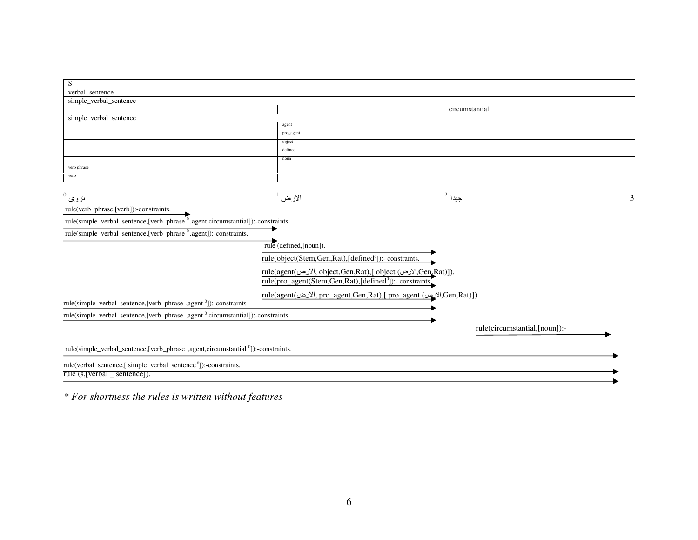| S                                                                                            |                                                                      |                                                                    |  |
|----------------------------------------------------------------------------------------------|----------------------------------------------------------------------|--------------------------------------------------------------------|--|
| verbal_sentence                                                                              |                                                                      |                                                                    |  |
| simple_verbal_sentence                                                                       |                                                                      |                                                                    |  |
|                                                                                              |                                                                      | circumstantial                                                     |  |
| simple_verbal_sentence                                                                       |                                                                      |                                                                    |  |
|                                                                                              | agent                                                                |                                                                    |  |
|                                                                                              | pro_agent                                                            |                                                                    |  |
|                                                                                              | object                                                               |                                                                    |  |
|                                                                                              | defined                                                              |                                                                    |  |
| verb phrase                                                                                  | noun                                                                 |                                                                    |  |
| verb                                                                                         |                                                                      |                                                                    |  |
|                                                                                              |                                                                      |                                                                    |  |
|                                                                                              |                                                                      |                                                                    |  |
| $^0$ نروی                                                                                    | الارض <sup>ا</sup>                                                   | $^2$ جيدا                                                          |  |
| rule(verb_phrase,[verb]):-constraints.                                                       |                                                                      |                                                                    |  |
| rule(simple_verbal_sentence,[verb_phrase <sup>0</sup> ,agent,circumstantial]):-constraints.  |                                                                      |                                                                    |  |
|                                                                                              |                                                                      |                                                                    |  |
| rule(simple_verbal_sentence,[verb_phrase <sup>0</sup> ,agent]):-constraints.                 |                                                                      |                                                                    |  |
|                                                                                              | rule (defined,[noun]).                                               |                                                                    |  |
|                                                                                              | rule(object(Stem,Gen,Rat),[defined <sup>0</sup> ]):- constraints.    |                                                                    |  |
|                                                                                              |                                                                      |                                                                    |  |
|                                                                                              | rule(agent(الارض), object,Gen,Rat),[ object (الارض),Gen,Rat)]).      |                                                                    |  |
|                                                                                              | rule(pro_agent(Stem,Gen,Rat),[defined <sup>0</sup> ]):- constraints, |                                                                    |  |
|                                                                                              |                                                                      | rule(agent(من), pro_agent,Gen,Rat),[ pro_agent (الارض),Gen,Rat)]). |  |
| rule(simple_verbal_sentence,[verb_phrase ,agent <sup>0</sup> ]):-constraints                 |                                                                      |                                                                    |  |
| rule(simple_verbal_sentence,[verb_phrase ,agent <sup>0</sup> ,circumstantial]):-constraints  |                                                                      |                                                                    |  |
|                                                                                              |                                                                      |                                                                    |  |
|                                                                                              |                                                                      | rule(circumstantial,[noun]):-                                      |  |
|                                                                                              |                                                                      |                                                                    |  |
| rule(simple_verbal_sentence,[verb_phrase ,agent,circumstantial <sup>0</sup> ]):-constraints. |                                                                      |                                                                    |  |
| rule(verbal_sentence,[ simple_verbal_sentence <sup>0</sup> ]):-constraints.                  |                                                                      |                                                                    |  |
| rule $(s,  vert)$ _ sentence $ $ ).                                                          |                                                                      |                                                                    |  |
|                                                                                              |                                                                      |                                                                    |  |

*\* For shortness the rules is written without features*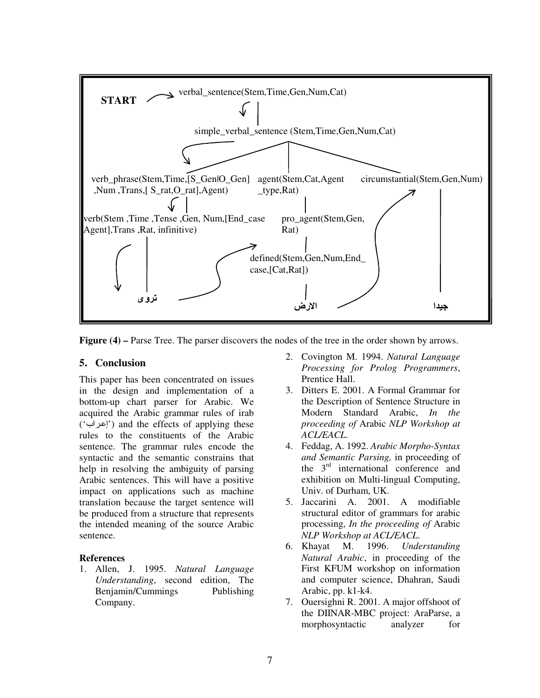

**Figure (4) –** Parse Tree. The parser discovers the nodes of the tree in the order shown by arrows.

### **5. Conclusion**

This paper has been concentrated on issues in the design and implementation of a bottom-up chart parser for Arabic. We acquired the Arabic grammar rules of irab (' ') and the effects of applying these rules to the constituents of the Arabic sentence. The grammar rules encode the syntactic and the semantic constrains that help in resolving the ambiguity of parsing Arabic sentences. This will have a positive impact on applications such as machine translation because the target sentence will be produced from a structure that represents the intended meaning of the source Arabic sentence.

### **References**

1. Allen, J. 1995. *Natural Language Understanding*, second edition, The Benjamin/Cummings Publishing Company.

- 2. Covington M. 1994. *Natural Language Processing for Prolog Programmers*, Prentice Hall.
- 3. Ditters E. 2001. A Formal Grammar for the Description of Sentence Structure in Modern Standard Arabic, *In the proceeding of* Arabic *NLP Workshop at ACL/EACL*.
- 4. Feddag, A. 1992. *Arabic Morpho-Syntax and Semantic Parsing,* in proceeding of the 3 rd international conference and exhibition on Multi-lingual Computing, Univ. of Durham, UK.
- 5. Jaccarini A. 2001. A modifiable structural editor of grammars for arabic processing, *In the proceeding of* Arabic *NLP Workshop at ACL/EACL*.
- 6. Khayat M. 1996. *Understanding Natural Arabic*, in proceeding of the First KFUM workshop on information and computer science, Dhahran, Saudi Arabic, pp. k1-k4.
- 7. Ouersighni R. 2001. A major offshoot of the DIINAR-MBC project: AraParse, a morphosyntactic analyzer for